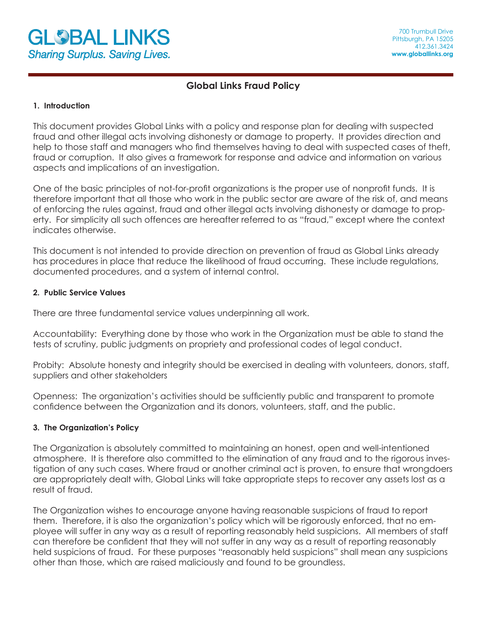# **Global Links Fraud Policy**

#### **1. Introduction**

This document provides Global Links with a policy and response plan for dealing with suspected fraud and other illegal acts involving dishonesty or damage to property. It provides direction and help to those staff and managers who find themselves having to deal with suspected cases of theft, fraud or corruption. It also gives a framework for response and advice and information on various aspects and implications of an investigation.

One of the basic principles of not-for-profit organizations is the proper use of nonprofit funds. It is therefore important that all those who work in the public sector are aware of the risk of, and means of enforcing the rules against, fraud and other illegal acts involving dishonesty or damage to property. For simplicity all such offences are hereafter referred to as "fraud," except where the context indicates otherwise.

This document is not intended to provide direction on prevention of fraud as Global Links already has procedures in place that reduce the likelihood of fraud occurring. These include regulations, documented procedures, and a system of internal control.

#### **2. Public Service Values**

There are three fundamental service values underpinning all work.

Accountability: Everything done by those who work in the Organization must be able to stand the tests of scrutiny, public judgments on propriety and professional codes of legal conduct.

Probity: Absolute honesty and integrity should be exercised in dealing with volunteers, donors, staff, suppliers and other stakeholders

Openness: The organization's activities should be sufficiently public and transparent to promote confidence between the Organization and its donors, volunteers, staff, and the public.

### **3. The Organization's Policy**

The Organization is absolutely committed to maintaining an honest, open and well-intentioned atmosphere. It is therefore also committed to the elimination of any fraud and to the rigorous investigation of any such cases. Where fraud or another criminal act is proven, to ensure that wrongdoers are appropriately dealt with, Global Links will take appropriate steps to recover any assets lost as a result of fraud.

The Organization wishes to encourage anyone having reasonable suspicions of fraud to report them. Therefore, it is also the organization's policy which will be rigorously enforced, that no employee will suffer in any way as a result of reporting reasonably held suspicions. All members of staff can therefore be confident that they will not suffer in any way as a result of reporting reasonably held suspicions of fraud. For these purposes "reasonably held suspicions" shall mean any suspicions other than those, which are raised maliciously and found to be groundless.